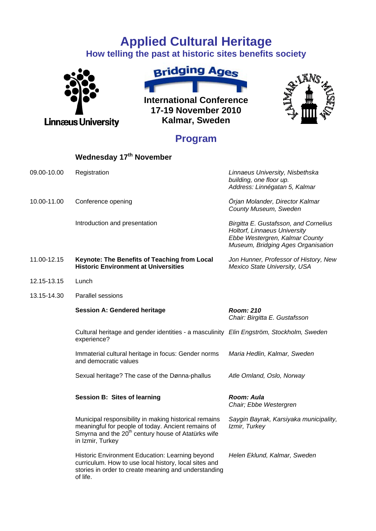## **Applied Cultural Heritage**

**How telling the past at historic sites benefits society** 





**International Conference 17-19 November 2010 Kalmar, Sweden** 



## **Program**

|             | Wednesday 17 <sup>th</sup> November                                                                                                                                                               |                                                                                                                                               |
|-------------|---------------------------------------------------------------------------------------------------------------------------------------------------------------------------------------------------|-----------------------------------------------------------------------------------------------------------------------------------------------|
| 09.00-10.00 | Registration                                                                                                                                                                                      | Linnaeus University, Nisbethska<br>building, one floor up.<br>Address: Linnégatan 5, Kalmar                                                   |
| 10.00-11.00 | Conference opening                                                                                                                                                                                | Örjan Molander, Director Kalmar<br>County Museum, Sweden                                                                                      |
|             | Introduction and presentation                                                                                                                                                                     | Birgitta E. Gustafsson, and Cornelius<br>Holtorf, Linnaeus University<br>Ebbe Westergren, Kalmar County<br>Museum, Bridging Ages Organisation |
| 11.00-12.15 | Keynote: The Benefits of Teaching from Local<br><b>Historic Environment at Universities</b>                                                                                                       | Jon Hunner, Professor of History, New<br>Mexico State University, USA                                                                         |
| 12.15-13.15 | Lunch                                                                                                                                                                                             |                                                                                                                                               |
| 13.15-14.30 | <b>Parallel sessions</b>                                                                                                                                                                          |                                                                                                                                               |
|             | <b>Session A: Gendered heritage</b>                                                                                                                                                               | <b>Room: 210</b><br>Chair: Birgitta E. Gustafsson                                                                                             |
|             | Cultural heritage and gender identities - a masculinity Elin Engström, Stockholm, Sweden<br>experience?                                                                                           |                                                                                                                                               |
|             | Immaterial cultural heritage in focus: Gender norms<br>and democratic values                                                                                                                      | Maria Hedlin, Kalmar, Sweden                                                                                                                  |
|             | Sexual heritage? The case of the Dønna-phallus                                                                                                                                                    | Atle Omland, Oslo, Norway                                                                                                                     |
|             | <b>Session B: Sites of learning</b>                                                                                                                                                               | Room: Aula<br>Chair; Ebbe Westergren                                                                                                          |
|             | Municipal responsibility in making historical remains<br>meaningful for people of today. Ancient remains of<br>Smyrna and the 20 <sup>th</sup> century house of Atatürks wife<br>in Izmir, Turkey | Saygin Bayrak, Karsiyaka municipality,<br>Izmir, Turkey                                                                                       |
|             | Historic Environment Education: Learning beyond<br>curriculum. How to use local history, local sites and<br>stories in order to create meaning and understanding<br>of life.                      | Helen Eklund, Kalmar, Sweden                                                                                                                  |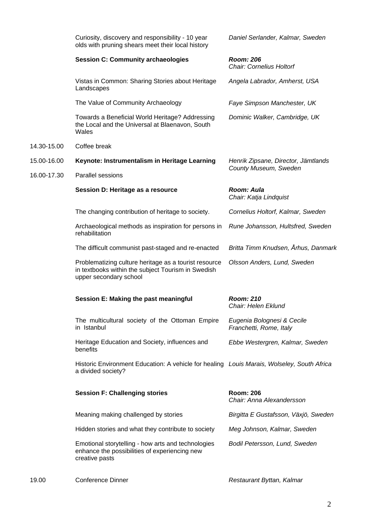|             | Curiosity, discovery and responsibility - 10 year<br>olds with pruning shears meet their local history                                | Daniel Serlander, Kalmar, Sweden                             |
|-------------|---------------------------------------------------------------------------------------------------------------------------------------|--------------------------------------------------------------|
|             | <b>Session C: Community archaeologies</b>                                                                                             | Room: 206<br><b>Chair: Cornelius Holtorf</b>                 |
|             | Vistas in Common: Sharing Stories about Heritage<br>Landscapes                                                                        | Angela Labrador, Amherst, USA                                |
|             | The Value of Community Archaeology                                                                                                    | Faye Simpson Manchester, UK                                  |
|             | Towards a Beneficial World Heritage? Addressing<br>the Local and the Universal at Blaenavon, South<br>Wales                           | Dominic Walker, Cambridge, UK                                |
| 14.30-15.00 | Coffee break                                                                                                                          |                                                              |
| 15.00-16.00 | Keynote: Instrumentalism in Heritage Learning                                                                                         | Henrik Zipsane, Director, Jämtlands<br>County Museum, Sweden |
| 16.00-17.30 | <b>Parallel sessions</b>                                                                                                              |                                                              |
|             | Session D: Heritage as a resource                                                                                                     | Room: Aula<br>Chair: Katja Lindquist                         |
|             | The changing contribution of heritage to society.                                                                                     | Cornelius Holtorf, Kalmar, Sweden                            |
|             | Archaeological methods as inspiration for persons in<br>rehabilitation                                                                | Rune Johansson, Hultsfred, Sweden                            |
|             | The difficult communist past-staged and re-enacted                                                                                    | Britta Timm Knudsen, Århus, Danmark                          |
|             | Problematizing culture heritage as a tourist resource<br>in textbooks within the subject Tourism in Swedish<br>upper secondary school | Olsson Anders, Lund, Sweden                                  |
|             | Session E: Making the past meaningful                                                                                                 | <b>Room: 210</b><br>Chair: Helen Eklund                      |
|             | The multicultural society of the Ottoman Empire<br>in Istanbul                                                                        | Eugenia Bolognesi & Cecile<br>Franchetti, Rome, Italy        |
|             | Heritage Education and Society, influences and<br>benefits                                                                            | Ebbe Westergren, Kalmar, Sweden                              |
|             | Historic Environment Education: A vehicle for healing Louis Marais, Wolseley, South Africa<br>a divided society?                      |                                                              |
|             | <b>Session F: Challenging stories</b>                                                                                                 | <b>Room: 206</b><br>Chair: Anna Alexandersson                |
|             | Meaning making challenged by stories                                                                                                  | Birgitta E Gustafsson, Växjö, Sweden                         |
|             | Hidden stories and what they contribute to society                                                                                    | Meg Johnson, Kalmar, Sweden                                  |
|             | Emotional storytelling - how arts and technologies<br>enhance the possibilities of experiencing new<br>creative pasts                 | Bodil Petersson, Lund, Sweden                                |
|             |                                                                                                                                       |                                                              |

19.00 Conference Dinner *Restaurant Byttan, Kalmar*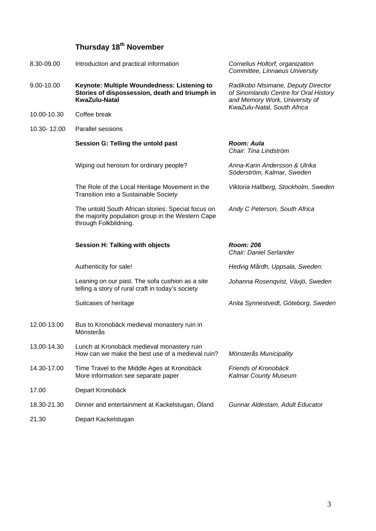## **Thursday 18th November**

| 8.30-09.00  | Introduction and practical information                                                                                           | Cornelius Holtorf, organization<br>Committee, Linnaeus University                                             |
|-------------|----------------------------------------------------------------------------------------------------------------------------------|---------------------------------------------------------------------------------------------------------------|
| 9.00-10.00  | Keynote: Multiple Woundedness: Listening to<br>Stories of dispossession, death and triumph in<br><b>KwaZulu-Natal</b>            | Radikobo Ntsimane, Deputy Director<br>of Sinomlando Centre for Oral History<br>and Memory Work, University of |
| 10.00-10.30 | Coffee break                                                                                                                     | KwaZulu-Natal, South Africa                                                                                   |
| 10.30-12.00 | <b>Parallel sessions</b>                                                                                                         |                                                                                                               |
|             | Session G: Telling the untold past                                                                                               | Room: Aula<br>Chair: Tina Lindström                                                                           |
|             | Wiping out heroism for ordinary people?                                                                                          | Anna-Karin Andersson & Ulrika<br>Söderström, Kalmar, Sweden                                                   |
|             | The Role of the Local Heritage Movement in the<br>Transition into a Sustainable Society                                          | Viktoria Hallberg, Stockholm, Sweden                                                                          |
|             | The untold South African stories: Special focus on<br>the majority population group in the Western Cape<br>through Folkbildning. | Andy C Peterson, South Africa                                                                                 |
|             |                                                                                                                                  |                                                                                                               |
|             | <b>Session H: Talking with objects</b>                                                                                           | <b>Room: 206</b><br><b>Chair: Daniel Serlander</b>                                                            |
|             | Authenticity for sale!                                                                                                           | Hedvig Mårdh, Uppsala, Sweden:                                                                                |
|             | Leaning on our past. The sofa cushion as a site<br>telling a story of rural craft in today's society                             | Johanna Rosenqvist, Växjö, Sweden                                                                             |
|             | Suitcases of heritage                                                                                                            | Anita Synnestvedt, Göteborg, Sweden                                                                           |
| 12.00-13.00 | Bus to Kronobäck medieval monastery ruin in<br>Mönsterås                                                                         |                                                                                                               |
| 13.00-14.30 | Lunch at Kronobäck medieval monastery ruin<br>How can we make the best use of a medieval ruin?                                   | Mönsterås Municipality                                                                                        |
| 14.30-17.00 | Time Travel to the Middle Ages at Kronobäck<br>More information see separate paper                                               | Friends of Kronobäck<br><b>Kalmar County Museum</b>                                                           |
| 17.00       | Depart Kronobäck                                                                                                                 |                                                                                                               |
| 18.30-21.30 | Dinner and entertainment at Kackelstugan, Öland                                                                                  | Gunnar Aldestam, Adult Educator                                                                               |